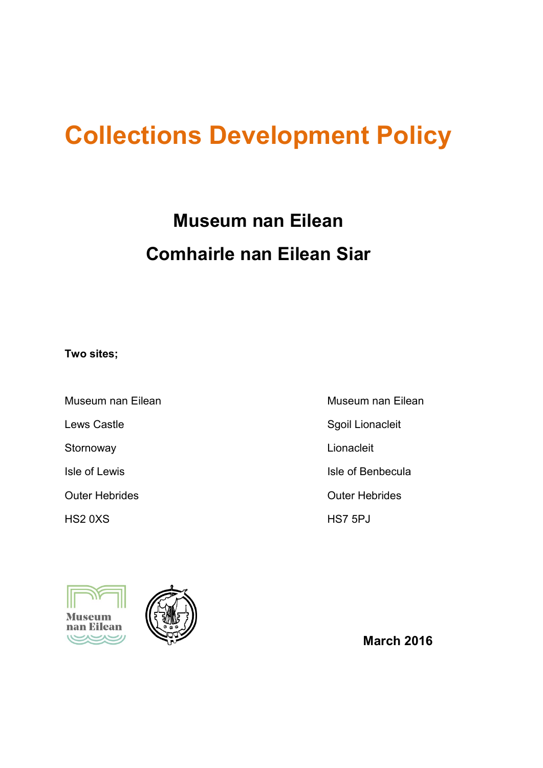# **Collections Development Policy**

# **Museum nan Eilean Comhairle nan Eilean Siar**

**Two sites;**

Museum nan Eilean **Museum nan Eilean** Lews Castle **Sgoil Lionacleit** Sgoil Lionacleit Stornoway **Lionacleit Isle of Lewis** Isle of Benbecula Outer Hebrides **Outer Hebrides** HS2 0XS HS7 5PJ





 **March 2016**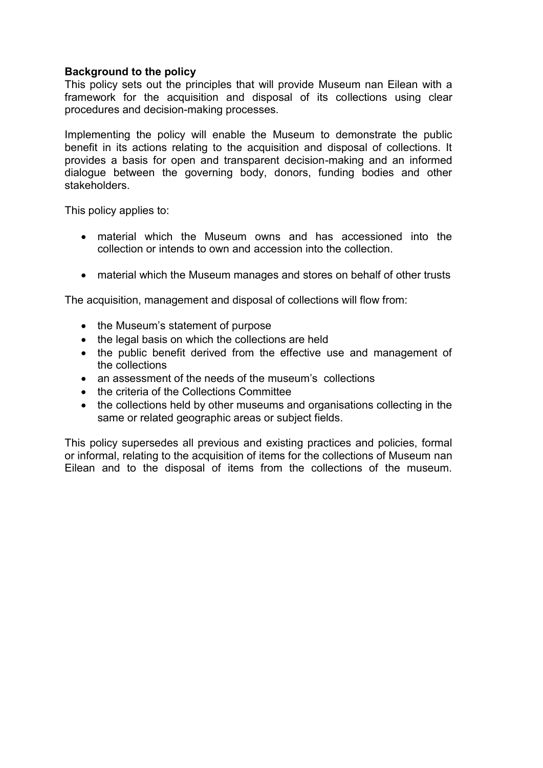## **Background to the policy**

This policy sets out the principles that will provide Museum nan Eilean with a framework for the acquisition and disposal of its collections using clear procedures and decision-making processes.

Implementing the policy will enable the Museum to demonstrate the public benefit in its actions relating to the acquisition and disposal of collections. It provides a basis for open and transparent decision-making and an informed dialogue between the governing body, donors, funding bodies and other stakeholders.

This policy applies to:

- material which the Museum owns and has accessioned into the collection or intends to own and accession into the collection.
- material which the Museum manages and stores on behalf of other trusts

The acquisition, management and disposal of collections will flow from:

- the Museum's statement of purpose
- the legal basis on which the collections are held
- the public benefit derived from the effective use and management of the collections
- an assessment of the needs of the museum's collections
- the criteria of the Collections Committee
- the collections held by other museums and organisations collecting in the same or related geographic areas or subject fields.

This policy supersedes all previous and existing practices and policies, formal or informal, relating to the acquisition of items for the collections of Museum nan Eilean and to the disposal of items from the collections of the museum.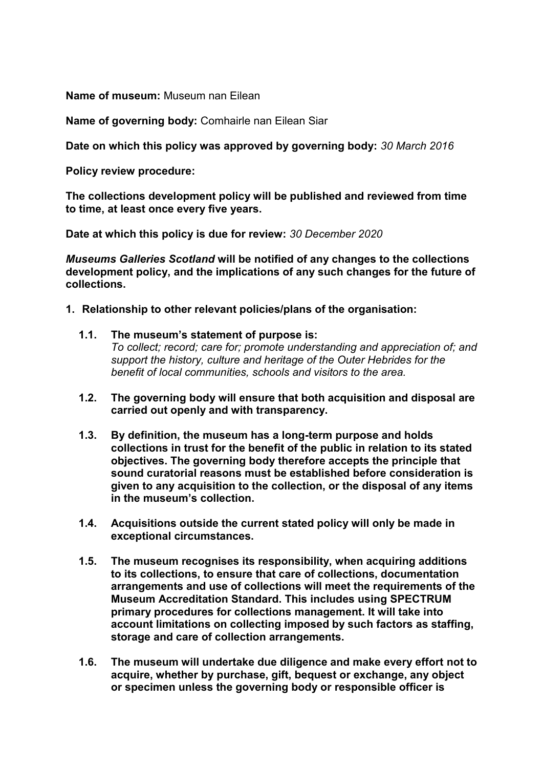**Name of museum:** Museum nan Eilean

**Name of governing body:** Comhairle nan Eilean Siar

**Date on which this policy was approved by governing body:** *30 March 2016*

**Policy review procedure:**

**The collections development policy will be published and reviewed from time to time, at least once every five years.** 

**Date at which this policy is due for review:** *30 December 2020*

*Museums Galleries Scotland* **will be notified of any changes to the collections development policy, and the implications of any such changes for the future of collections.** 

- **1. Relationship to other relevant policies/plans of the organisation:**
	- **1.1. The museum's statement of purpose is:** *To collect; record; care for; promote understanding and appreciation of; and support the history, culture and heritage of the Outer Hebrides for the benefit of local communities, schools and visitors to the area.*
	- **1.2. The governing body will ensure that both acquisition and disposal are carried out openly and with transparency.**
	- **1.3. By definition, the museum has a long-term purpose and holds collections in trust for the benefit of the public in relation to its stated objectives. The governing body therefore accepts the principle that sound curatorial reasons must be established before consideration is given to any acquisition to the collection, or the disposal of any items in the museum's collection.**
	- **1.4. Acquisitions outside the current stated policy will only be made in exceptional circumstances.**
	- **1.5. The museum recognises its responsibility, when acquiring additions to its collections, to ensure that care of collections, documentation arrangements and use of collections will meet the requirements of the Museum Accreditation Standard. This includes using SPECTRUM primary procedures for collections management. It will take into account limitations on collecting imposed by such factors as staffing, storage and care of collection arrangements.**
	- **1.6. The museum will undertake due diligence and make every effort not to acquire, whether by purchase, gift, bequest or exchange, any object or specimen unless the governing body or responsible officer is**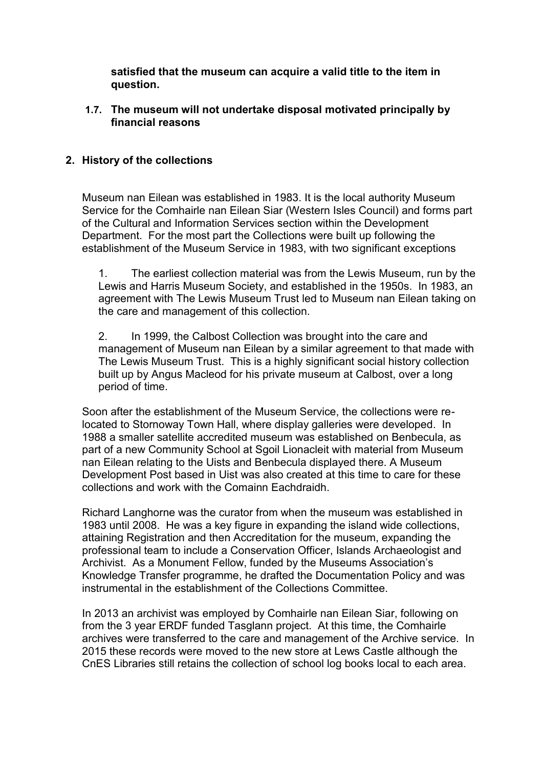**satisfied that the museum can acquire a valid title to the item in question.**

**1.7. The museum will not undertake disposal motivated principally by financial reasons**

# **2. History of the collections**

Museum nan Eilean was established in 1983. It is the local authority Museum Service for the Comhairle nan Eilean Siar (Western Isles Council) and forms part of the Cultural and Information Services section within the Development Department. For the most part the Collections were built up following the establishment of the Museum Service in 1983, with two significant exceptions

1. The earliest collection material was from the Lewis Museum, run by the Lewis and Harris Museum Society, and established in the 1950s. In 1983, an agreement with The Lewis Museum Trust led to Museum nan Eilean taking on the care and management of this collection.

2. In 1999, the Calbost Collection was brought into the care and management of Museum nan Eilean by a similar agreement to that made with The Lewis Museum Trust. This is a highly significant social history collection built up by Angus Macleod for his private museum at Calbost, over a long period of time.

Soon after the establishment of the Museum Service, the collections were relocated to Stornoway Town Hall, where display galleries were developed. In 1988 a smaller satellite accredited museum was established on Benbecula, as part of a new Community School at Sgoil Lionacleit with material from Museum nan Eilean relating to the Uists and Benbecula displayed there. A Museum Development Post based in Uist was also created at this time to care for these collections and work with the Comainn Eachdraidh.

Richard Langhorne was the curator from when the museum was established in 1983 until 2008. He was a key figure in expanding the island wide collections, attaining Registration and then Accreditation for the museum, expanding the professional team to include a Conservation Officer, Islands Archaeologist and Archivist. As a Monument Fellow, funded by the Museums Association's Knowledge Transfer programme, he drafted the Documentation Policy and was instrumental in the establishment of the Collections Committee.

In 2013 an archivist was employed by Comhairle nan Eilean Siar, following on from the 3 year ERDF funded Tasglann project. At this time, the Comhairle archives were transferred to the care and management of the Archive service. In 2015 these records were moved to the new store at Lews Castle although the CnES Libraries still retains the collection of school log books local to each area.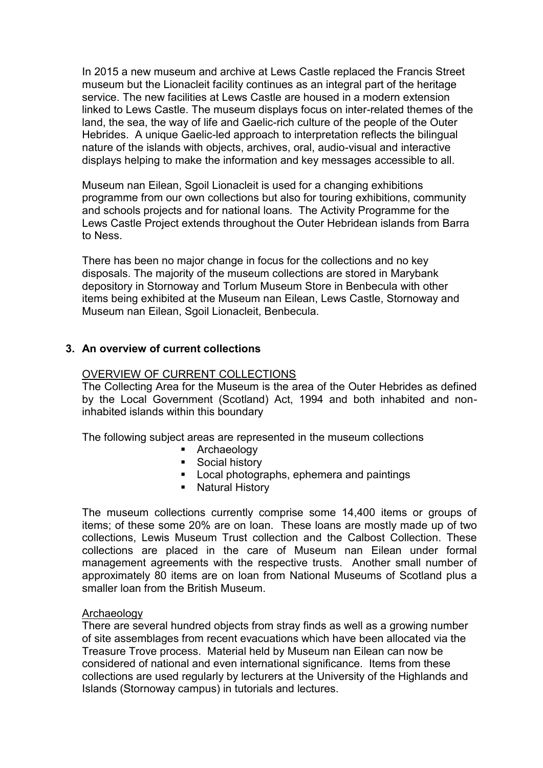In 2015 a new museum and archive at Lews Castle replaced the Francis Street museum but the Lionacleit facility continues as an integral part of the heritage service. The new facilities at Lews Castle are housed in a modern extension linked to Lews Castle. The museum displays focus on inter-related themes of the land, the sea, the way of life and Gaelic-rich culture of the people of the Outer Hebrides. A unique Gaelic-led approach to interpretation reflects the bilingual nature of the islands with objects, archives, oral, audio-visual and interactive displays helping to make the information and key messages accessible to all.

Museum nan Eilean, Sgoil Lionacleit is used for a changing exhibitions programme from our own collections but also for touring exhibitions, community and schools projects and for national loans. The Activity Programme for the Lews Castle Project extends throughout the Outer Hebridean islands from Barra to Ness.

There has been no major change in focus for the collections and no key disposals. The majority of the museum collections are stored in Marybank depository in Stornoway and Torlum Museum Store in Benbecula with other items being exhibited at the Museum nan Eilean, Lews Castle, Stornoway and Museum nan Eilean, Sgoil Lionacleit, Benbecula.

# **3. An overview of current collections**

### OVERVIEW OF CURRENT COLLECTIONS

The Collecting Area for the Museum is the area of the Outer Hebrides as defined by the Local Government (Scotland) Act, 1994 and both inhabited and noninhabited islands within this boundary

The following subject areas are represented in the museum collections

- **Archaeology**
- Social history
- **Local photographs, ephemera and paintings**
- **Natural History**

The museum collections currently comprise some 14,400 items or groups of items; of these some 20% are on loan. These loans are mostly made up of two collections, Lewis Museum Trust collection and the Calbost Collection. These collections are placed in the care of Museum nan Eilean under formal management agreements with the respective trusts. Another small number of approximately 80 items are on loan from National Museums of Scotland plus a smaller loan from the British Museum.

#### **Archaeology**

There are several hundred objects from stray finds as well as a growing number of site assemblages from recent evacuations which have been allocated via the Treasure Trove process. Material held by Museum nan Eilean can now be considered of national and even international significance. Items from these collections are used regularly by lecturers at the University of the Highlands and Islands (Stornoway campus) in tutorials and lectures.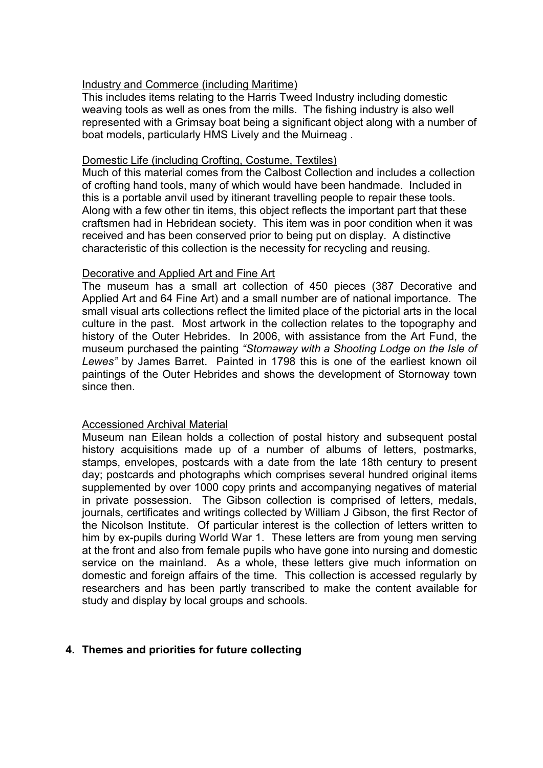## Industry and Commerce (including Maritime)

This includes items relating to the Harris Tweed Industry including domestic weaving tools as well as ones from the mills. The fishing industry is also well represented with a Grimsay boat being a significant object along with a number of boat models, particularly HMS Lively and the Muirneag .

## Domestic Life (including Crofting, Costume, Textiles)

Much of this material comes from the Calbost Collection and includes a collection of crofting hand tools, many of which would have been handmade. Included in this is a portable anvil used by itinerant travelling people to repair these tools. Along with a few other tin items, this object reflects the important part that these craftsmen had in Hebridean society. This item was in poor condition when it was received and has been conserved prior to being put on display. A distinctive characteristic of this collection is the necessity for recycling and reusing.

### Decorative and Applied Art and Fine Art

The museum has a small art collection of 450 pieces (387 Decorative and Applied Art and 64 Fine Art) and a small number are of national importance. The small visual arts collections reflect the limited place of the pictorial arts in the local culture in the past. Most artwork in the collection relates to the topography and history of the Outer Hebrides. In 2006, with assistance from the Art Fund, the museum purchased the painting *"Stornaway with a Shooting Lodge on the Isle of Lewes"* by James Barret. Painted in 1798 this is one of the earliest known oil paintings of the Outer Hebrides and shows the development of Stornoway town since then.

## Accessioned Archival Material

Museum nan Eilean holds a collection of postal history and subsequent postal history acquisitions made up of a number of albums of letters, postmarks, stamps, envelopes, postcards with a date from the late 18th century to present day; postcards and photographs which comprises several hundred original items supplemented by over 1000 copy prints and accompanying negatives of material in private possession. The Gibson collection is comprised of letters, medals, journals, certificates and writings collected by William J Gibson, the first Rector of the Nicolson Institute. Of particular interest is the collection of letters written to him by ex-pupils during World War 1. These letters are from young men serving at the front and also from female pupils who have gone into nursing and domestic service on the mainland. As a whole, these letters give much information on domestic and foreign affairs of the time. This collection is accessed regularly by researchers and has been partly transcribed to make the content available for study and display by local groups and schools.

## **4. Themes and priorities for future collecting**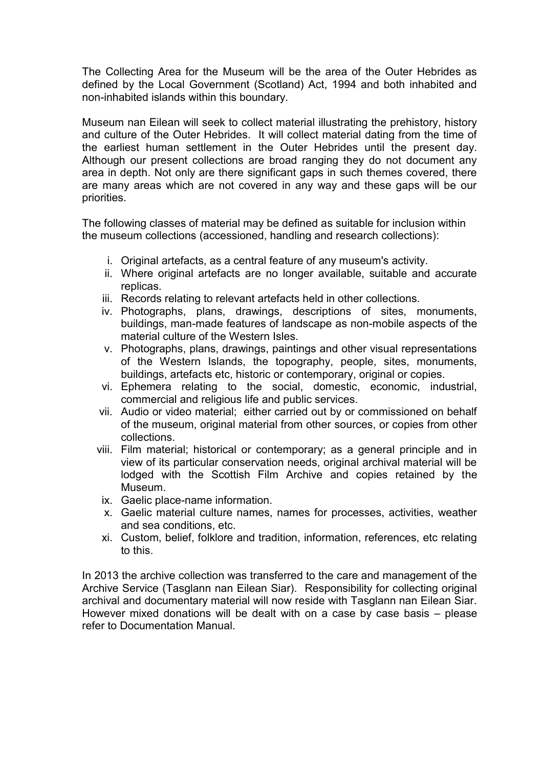The Collecting Area for the Museum will be the area of the Outer Hebrides as defined by the Local Government (Scotland) Act, 1994 and both inhabited and non-inhabited islands within this boundary.

Museum nan Eilean will seek to collect material illustrating the prehistory, history and culture of the Outer Hebrides. It will collect material dating from the time of the earliest human settlement in the Outer Hebrides until the present day. Although our present collections are broad ranging they do not document any area in depth. Not only are there significant gaps in such themes covered, there are many areas which are not covered in any way and these gaps will be our priorities.

The following classes of material may be defined as suitable for inclusion within the museum collections (accessioned, handling and research collections):

- i. Original artefacts, as a central feature of any museum's activity.
- ii. Where original artefacts are no longer available, suitable and accurate replicas.
- iii. Records relating to relevant artefacts held in other collections.
- iv. Photographs, plans, drawings, descriptions of sites, monuments, buildings, man-made features of landscape as non-mobile aspects of the material culture of the Western Isles.
- v. Photographs, plans, drawings, paintings and other visual representations of the Western Islands, the topography, people, sites, monuments, buildings, artefacts etc, historic or contemporary, original or copies.
- vi. Ephemera relating to the social, domestic, economic, industrial, commercial and religious life and public services.
- vii. Audio or video material; either carried out by or commissioned on behalf of the museum, original material from other sources, or copies from other collections.
- viii. Film material; historical or contemporary; as a general principle and in view of its particular conservation needs, original archival material will be lodged with the Scottish Film Archive and copies retained by the Museum.
- ix. Gaelic place-name information.
- x. Gaelic material culture names, names for processes, activities, weather and sea conditions, etc.
- xi. Custom, belief, folklore and tradition, information, references, etc relating to this.

In 2013 the archive collection was transferred to the care and management of the Archive Service (Tasglann nan Eilean Siar). Responsibility for collecting original archival and documentary material will now reside with Tasglann nan Eilean Siar. However mixed donations will be dealt with on a case by case basis – please refer to Documentation Manual.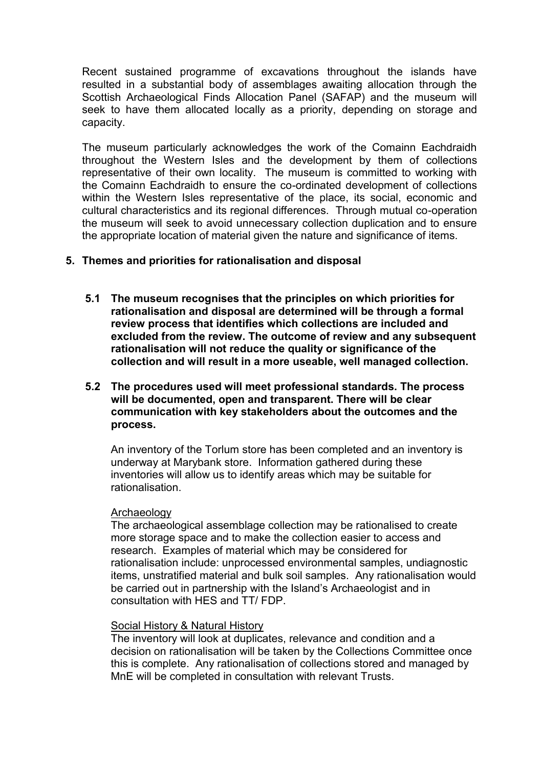Recent sustained programme of excavations throughout the islands have resulted in a substantial body of assemblages awaiting allocation through the Scottish Archaeological Finds Allocation Panel (SAFAP) and the museum will seek to have them allocated locally as a priority, depending on storage and capacity.

The museum particularly acknowledges the work of the Comainn Eachdraidh throughout the Western Isles and the development by them of collections representative of their own locality. The museum is committed to working with the Comainn Eachdraidh to ensure the co-ordinated development of collections within the Western Isles representative of the place, its social, economic and cultural characteristics and its regional differences. Through mutual co-operation the museum will seek to avoid unnecessary collection duplication and to ensure the appropriate location of material given the nature and significance of items.

## **5. Themes and priorities for rationalisation and disposal**

- **5.1 The museum recognises that the principles on which priorities for rationalisation and disposal are determined will be through a formal review process that identifies which collections are included and excluded from the review. The outcome of review and any subsequent rationalisation will not reduce the quality or significance of the collection and will result in a more useable, well managed collection.**
- **5.2 The procedures used will meet professional standards. The process will be documented, open and transparent. There will be clear communication with key stakeholders about the outcomes and the process.**

An inventory of the Torlum store has been completed and an inventory is underway at Marybank store. Information gathered during these inventories will allow us to identify areas which may be suitable for rationalisation.

#### Archaeology

The archaeological assemblage collection may be rationalised to create more storage space and to make the collection easier to access and research. Examples of material which may be considered for rationalisation include: unprocessed environmental samples, undiagnostic items, unstratified material and bulk soil samples. Any rationalisation would be carried out in partnership with the Island's Archaeologist and in consultation with HES and TT/ FDP.

# Social History & Natural History

The inventory will look at duplicates, relevance and condition and a decision on rationalisation will be taken by the Collections Committee once this is complete. Any rationalisation of collections stored and managed by MnE will be completed in consultation with relevant Trusts.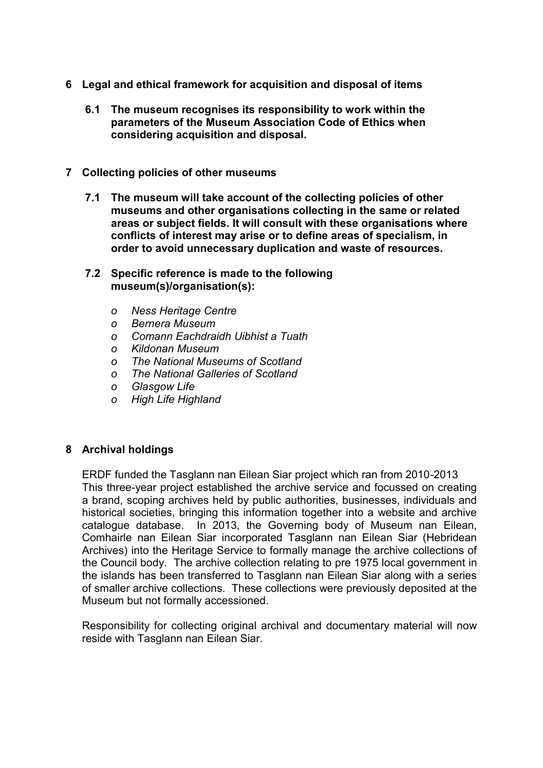- **6 Legal and ethical framework for acquisition and disposal of items** 
	- **6.1 The museum recognises its responsibility to work within the parameters of the Museum Association Code of Ethics when considering acquisition and disposal.**
- **7 Collecting policies of other museums** 
	- **7.1 The museum will take account of the collecting policies of other museums and other organisations collecting in the same or related areas or subject fields. It will consult with these organisations where conflicts of interest may arise or to define areas of specialism, in order to avoid unnecessary duplication and waste of resources.**
	- **7.2 Specific reference is made to the following museum(s)/organisation(s):**
		- *o Ness Heritage Centre*
		- *o Bernera Museum*
		- *o Comann Eachdraidh Uibhist a Tuath*
		- *o Kildonan Museum*
		- *o The National Museums of Scotland*
		- *o The National Galleries of Scotland*
		- *o Glasgow Life*
		- *o High Life Highland*

## **8 Archival holdings**

ERDF funded the Tasglann nan Eilean Siar project which ran from 2010-2013 This three-year project established the archive service and focussed on creating a brand, scoping archives held by public authorities, businesses, individuals and historical societies, bringing this information together into a website and archive catalogue database. In 2013, the Governing body of Museum nan Eilean, Comhairle nan Eilean Siar incorporated Tasglann nan Eilean Siar (Hebridean Archives) into the Heritage Service to formally manage the archive collections of the Council body. The archive collection relating to pre 1975 local government in the islands has been transferred to Tasglann nan Eilean Siar along with a series of smaller archive collections. These collections were previously deposited at the Museum but not formally accessioned.

Responsibility for collecting original archival and documentary material will now reside with Tasglann nan Eilean Siar.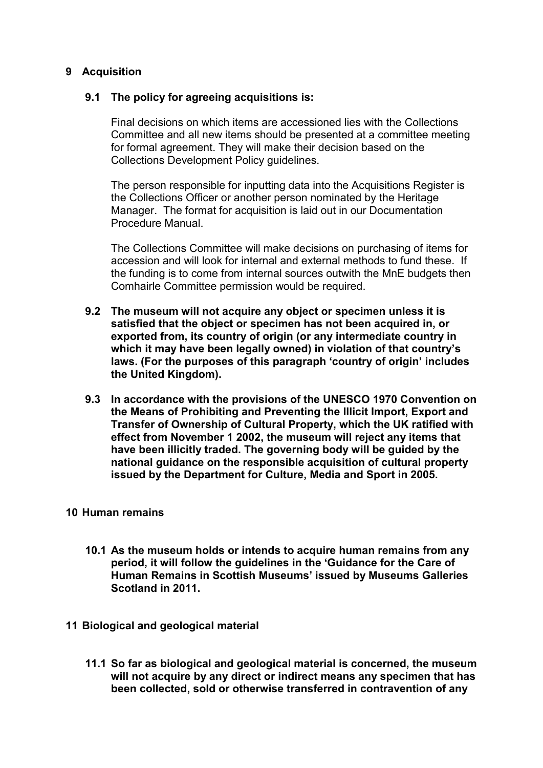# **9 Acquisition**

## **9.1 The policy for agreeing acquisitions is:**

Final decisions on which items are accessioned lies with the Collections Committee and all new items should be presented at a committee meeting for formal agreement. They will make their decision based on the Collections Development Policy guidelines.

The person responsible for inputting data into the Acquisitions Register is the Collections Officer or another person nominated by the Heritage Manager. The format for acquisition is laid out in our Documentation Procedure Manual.

The Collections Committee will make decisions on purchasing of items for accession and will look for internal and external methods to fund these. If the funding is to come from internal sources outwith the MnE budgets then Comhairle Committee permission would be required.

- **9.2 The museum will not acquire any object or specimen unless it is satisfied that the object or specimen has not been acquired in, or exported from, its country of origin (or any intermediate country in which it may have been legally owned) in violation of that country's laws. (For the purposes of this paragraph 'country of origin' includes the United Kingdom).**
- **9.3 In accordance with the provisions of the UNESCO 1970 Convention on the Means of Prohibiting and Preventing the Illicit Import, Export and Transfer of Ownership of Cultural Property, which the UK ratified with effect from November 1 2002, the museum will reject any items that have been illicitly traded. The governing body will be guided by the national guidance on the responsible acquisition of cultural property issued by the Department for Culture, Media and Sport in 2005.**

## **10 Human remains**

- **10.1 As the museum holds or intends to acquire human remains from any period, it will follow the guidelines in the 'Guidance for the Care of Human Remains in Scottish Museums' issued by Museums Galleries Scotland in 2011.**
- **11 Biological and geological material**
	- **11.1 So far as biological and geological material is concerned, the museum will not acquire by any direct or indirect means any specimen that has been collected, sold or otherwise transferred in contravention of any**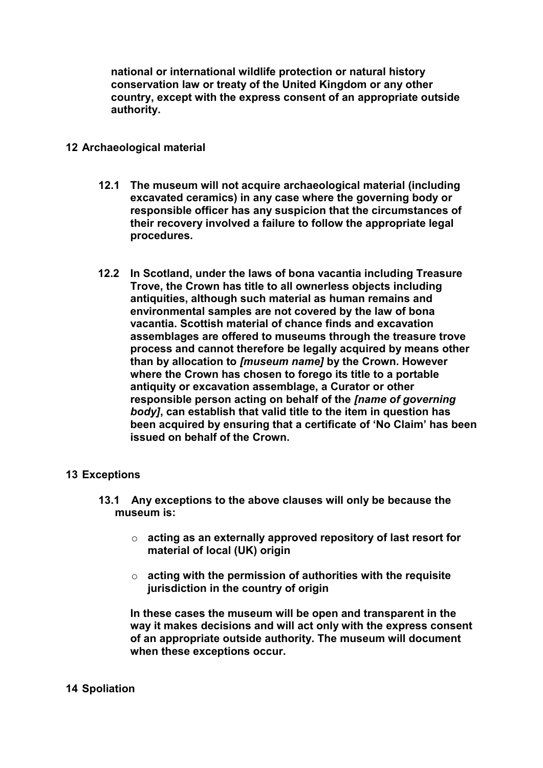**national or international wildlife protection or natural history conservation law or treaty of the United Kingdom or any other country, except with the express consent of an appropriate outside authority.**

## **12 Archaeological material**

- **12.1 The museum will not acquire archaeological material (including excavated ceramics) in any case where the governing body or responsible officer has any suspicion that the circumstances of their recovery involved a failure to follow the appropriate legal procedures.**
- **12.2 In Scotland, under the laws of bona vacantia including Treasure Trove, the Crown has title to all ownerless objects including antiquities, although such material as human remains and environmental samples are not covered by the law of bona vacantia. Scottish material of chance finds and excavation assemblages are offered to museums through the treasure trove process and cannot therefore be legally acquired by means other than by allocation to** *[museum name]* **by the Crown. However where the Crown has chosen to forego its title to a portable antiquity or excavation assemblage, a Curator or other responsible person acting on behalf of the** *[name of governing body]***, can establish that valid title to the item in question has been acquired by ensuring that a certificate of 'No Claim' has been issued on behalf of the Crown.**

## **13 Exceptions**

- **13.1 Any exceptions to the above clauses will only be because the museum is:** 
	- o **acting as an externally approved repository of last resort for material of local (UK) origin**
	- o **acting with the permission of authorities with the requisite jurisdiction in the country of origin**

**In these cases the museum will be open and transparent in the way it makes decisions and will act only with the express consent of an appropriate outside authority. The museum will document when these exceptions occur.**

## **14 Spoliation**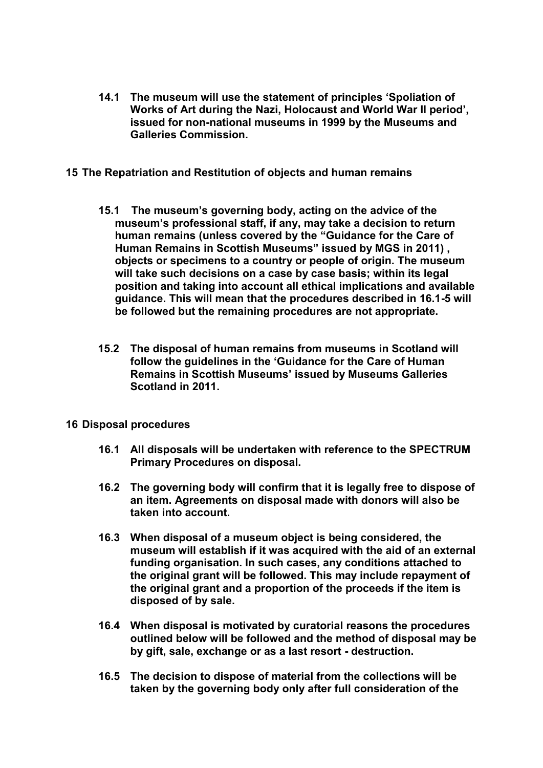- **14.1 The museum will use the statement of principles 'Spoliation of Works of Art during the Nazi, Holocaust and World War II period', issued for non-national museums in 1999 by the Museums and Galleries Commission.**
- **15 The Repatriation and Restitution of objects and human remains**
	- **15.1 The museum's governing body, acting on the advice of the museum's professional staff, if any, may take a decision to return human remains (unless covered by the "Guidance for the Care of Human Remains in Scottish Museums" issued by MGS in 2011) , objects or specimens to a country or people of origin. The museum will take such decisions on a case by case basis; within its legal position and taking into account all ethical implications and available guidance. This will mean that the procedures described in 16.1-5 will be followed but the remaining procedures are not appropriate.**
	- **15.2 The disposal of human remains from museums in Scotland will follow the guidelines in the 'Guidance for the Care of Human Remains in Scottish Museums' issued by Museums Galleries Scotland in 2011.**
- **16 Disposal procedures**
	- **16.1 All disposals will be undertaken with reference to the SPECTRUM Primary Procedures on disposal.**
	- **16.2 The governing body will confirm that it is legally free to dispose of an item. Agreements on disposal made with donors will also be taken into account.**
	- **16.3 When disposal of a museum object is being considered, the museum will establish if it was acquired with the aid of an external funding organisation. In such cases, any conditions attached to the original grant will be followed. This may include repayment of the original grant and a proportion of the proceeds if the item is disposed of by sale.**
	- **16.4 When disposal is motivated by curatorial reasons the procedures outlined below will be followed and the method of disposal may be by gift, sale, exchange or as a last resort - destruction.**
	- **16.5 The decision to dispose of material from the collections will be taken by the governing body only after full consideration of the**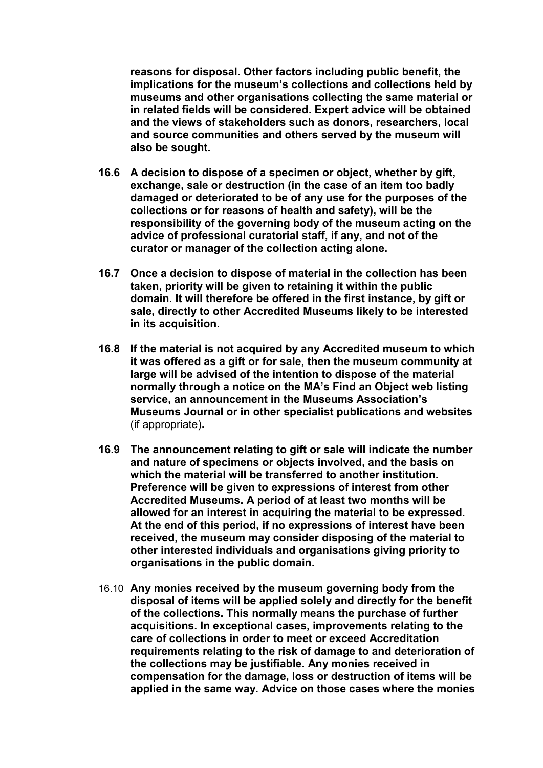**reasons for disposal. Other factors including public benefit, the implications for the museum's collections and collections held by museums and other organisations collecting the same material or in related fields will be considered. Expert advice will be obtained and the views of stakeholders such as donors, researchers, local and source communities and others served by the museum will also be sought.**

- **16.6 A decision to dispose of a specimen or object, whether by gift, exchange, sale or destruction (in the case of an item too badly damaged or deteriorated to be of any use for the purposes of the collections or for reasons of health and safety), will be the responsibility of the governing body of the museum acting on the advice of professional curatorial staff, if any, and not of the curator or manager of the collection acting alone.**
- **16.7 Once a decision to dispose of material in the collection has been taken, priority will be given to retaining it within the public domain. It will therefore be offered in the first instance, by gift or sale, directly to other Accredited Museums likely to be interested in its acquisition.**
- **16.8 If the material is not acquired by any Accredited museum to which it was offered as a gift or for sale, then the museum community at large will be advised of the intention to dispose of the material normally through a notice on the MA's Find an Object web listing service, an announcement in the Museums Association's Museums Journal or in other specialist publications and websites**  (if appropriate)**.**
- **16.9 The announcement relating to gift or sale will indicate the number and nature of specimens or objects involved, and the basis on which the material will be transferred to another institution. Preference will be given to expressions of interest from other Accredited Museums. A period of at least two months will be allowed for an interest in acquiring the material to be expressed. At the end of this period, if no expressions of interest have been received, the museum may consider disposing of the material to other interested individuals and organisations giving priority to organisations in the public domain.**
- 16.10 **Any monies received by the museum governing body from the disposal of items will be applied solely and directly for the benefit of the collections. This normally means the purchase of further acquisitions. In exceptional cases, improvements relating to the care of collections in order to meet or exceed Accreditation requirements relating to the risk of damage to and deterioration of the collections may be justifiable. Any monies received in compensation for the damage, loss or destruction of items will be applied in the same way. Advice on those cases where the monies**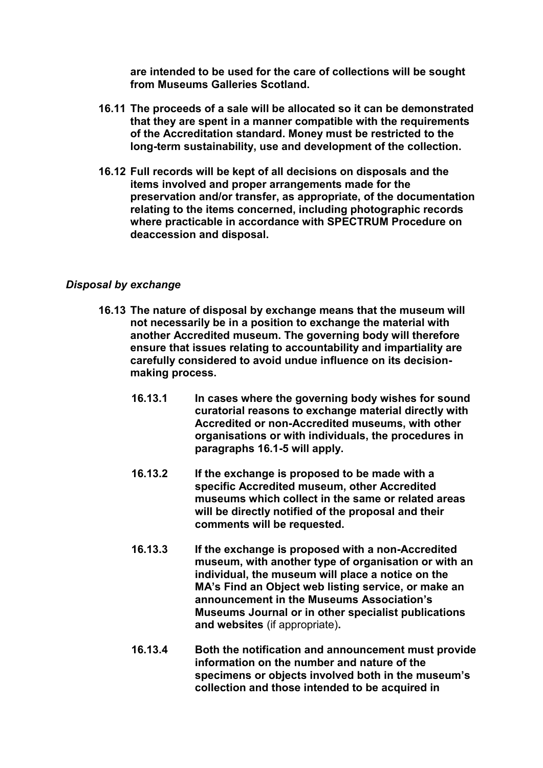**are intended to be used for the care of collections will be sought from Museums Galleries Scotland.**

- **16.11 The proceeds of a sale will be allocated so it can be demonstrated that they are spent in a manner compatible with the requirements of the Accreditation standard. Money must be restricted to the long-term sustainability, use and development of the collection.**
- **16.12 Full records will be kept of all decisions on disposals and the items involved and proper arrangements made for the preservation and/or transfer, as appropriate, of the documentation relating to the items concerned, including photographic records where practicable in accordance with SPECTRUM Procedure on deaccession and disposal.**

# *Disposal by exchange*

- **16.13 The nature of disposal by exchange means that the museum will not necessarily be in a position to exchange the material with another Accredited museum. The governing body will therefore ensure that issues relating to accountability and impartiality are carefully considered to avoid undue influence on its decisionmaking process.**
	- **16.13.1 In cases where the governing body wishes for sound curatorial reasons to exchange material directly with Accredited or non-Accredited museums, with other organisations or with individuals, the procedures in paragraphs 16.1-5 will apply.**
	- **16.13.2 If the exchange is proposed to be made with a specific Accredited museum, other Accredited museums which collect in the same or related areas will be directly notified of the proposal and their comments will be requested.**
	- **16.13.3 If the exchange is proposed with a non-Accredited museum, with another type of organisation or with an individual, the museum will place a notice on the MA's Find an Object web listing service, or make an announcement in the Museums Association's Museums Journal or in other specialist publications and websites** (if appropriate)**.**
	- **16.13.4 Both the notification and announcement must provide information on the number and nature of the specimens or objects involved both in the museum's collection and those intended to be acquired in**